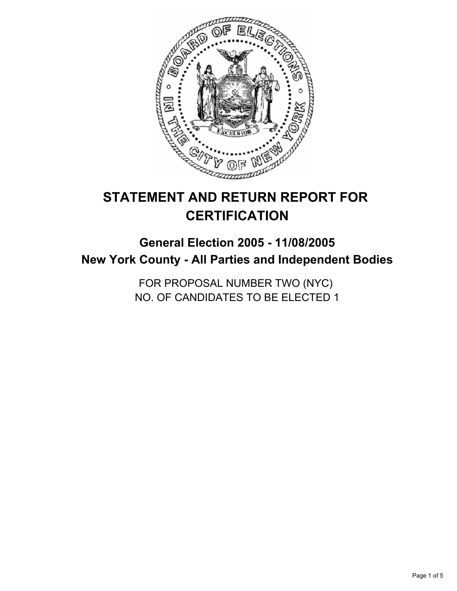

# **STATEMENT AND RETURN REPORT FOR CERTIFICATION**

## **General Election 2005 - 11/08/2005 New York County - All Parties and Independent Bodies**

FOR PROPOSAL NUMBER TWO (NYC) NO. OF CANDIDATES TO BE ELECTED 1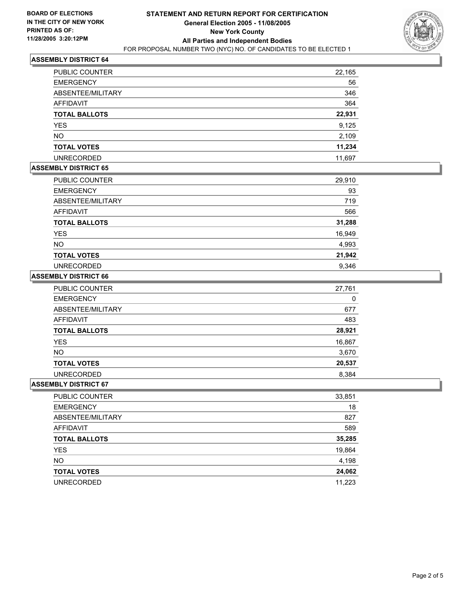

## **ASSEMBLY DISTRICT 64**

| PUBLIC COUNTER       | 22,165 |
|----------------------|--------|
| <b>EMERGENCY</b>     | 56     |
| ABSENTEE/MILITARY    | 346    |
| AFFIDAVIT            | 364    |
| <b>TOTAL BALLOTS</b> | 22,931 |
| <b>YES</b>           | 9,125  |
| <b>NO</b>            | 2,109  |
| <b>TOTAL VOTES</b>   | 11,234 |
| <b>UNRECORDED</b>    | 11,697 |

## **ASSEMBLY DISTRICT 65**

| PUBLIC COUNTER       | 29,910 |
|----------------------|--------|
| <b>EMERGENCY</b>     | 93     |
| ABSENTEE/MILITARY    | 719    |
| <b>AFFIDAVIT</b>     | 566    |
| <b>TOTAL BALLOTS</b> | 31,288 |
| <b>YES</b>           | 16,949 |
| <b>NO</b>            | 4,993  |
| <b>TOTAL VOTES</b>   | 21,942 |
| <b>UNRECORDED</b>    | 9,346  |

#### **ASSEMBLY DISTRICT 66**

| <b>PUBLIC COUNTER</b> | 27,761 |
|-----------------------|--------|
| <b>EMERGENCY</b>      | 0      |
| ABSENTEE/MILITARY     | 677    |
| AFFIDAVIT             | 483    |
| <b>TOTAL BALLOTS</b>  | 28,921 |
| <b>YES</b>            | 16,867 |
| <b>NO</b>             | 3,670  |
| <b>TOTAL VOTES</b>    | 20,537 |
| <b>UNRECORDED</b>     | 8,384  |

#### **ASSEMBLY DISTRICT 67**

| PUBLIC COUNTER       | 33,851 |
|----------------------|--------|
| <b>EMERGENCY</b>     | 18     |
| ABSENTEE/MILITARY    | 827    |
| AFFIDAVIT            | 589    |
| <b>TOTAL BALLOTS</b> | 35,285 |
| <b>YES</b>           | 19,864 |
| <b>NO</b>            | 4,198  |
| <b>TOTAL VOTES</b>   | 24,062 |
| <b>UNRECORDED</b>    | 11,223 |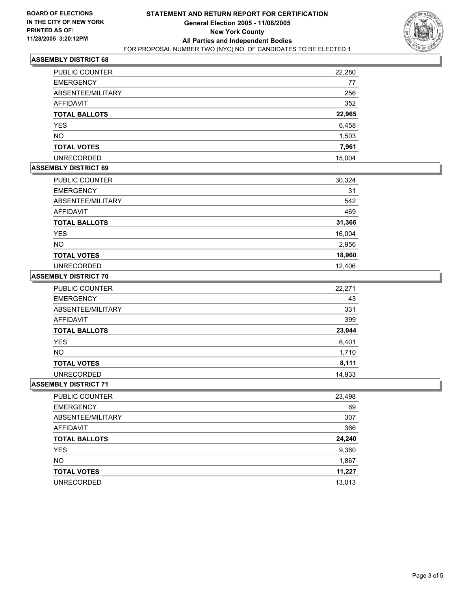

## **ASSEMBLY DISTRICT 68**

| PUBLIC COUNTER       | 22,280 |
|----------------------|--------|
| <b>EMERGENCY</b>     | 77     |
| ABSENTEE/MILITARY    | 256    |
| AFFIDAVIT            | 352    |
| <b>TOTAL BALLOTS</b> | 22,965 |
| <b>YES</b>           | 6,458  |
| <b>NO</b>            | 1,503  |
| <b>TOTAL VOTES</b>   | 7,961  |
| <b>UNRECORDED</b>    | 15,004 |

## **ASSEMBLY DISTRICT 69**

| PUBLIC COUNTER       | 30,324 |
|----------------------|--------|
| <b>EMERGENCY</b>     | 31     |
| ABSENTEE/MILITARY    | 542    |
| AFFIDAVIT            | 469    |
| <b>TOTAL BALLOTS</b> | 31,366 |
| <b>YES</b>           | 16,004 |
| <b>NO</b>            | 2,956  |
| <b>TOTAL VOTES</b>   | 18,960 |
| <b>UNRECORDED</b>    | 12,406 |

#### **ASSEMBLY DISTRICT 70**

| <b>PUBLIC COUNTER</b> | 22,271 |
|-----------------------|--------|
| <b>EMERGENCY</b>      | 43     |
| ABSENTEE/MILITARY     | 331    |
| AFFIDAVIT             | 399    |
| <b>TOTAL BALLOTS</b>  | 23,044 |
| <b>YES</b>            | 6,401  |
| <b>NO</b>             | 1,710  |
| <b>TOTAL VOTES</b>    | 8,111  |
| <b>UNRECORDED</b>     | 14,933 |

#### **ASSEMBLY DISTRICT 71**

| PUBLIC COUNTER       | 23,498 |
|----------------------|--------|
| <b>EMERGENCY</b>     | 69     |
| ABSENTEE/MILITARY    | 307    |
| AFFIDAVIT            | 366    |
| <b>TOTAL BALLOTS</b> | 24,240 |
| <b>YES</b>           | 9,360  |
| <b>NO</b>            | 1,867  |
| <b>TOTAL VOTES</b>   | 11,227 |
| <b>UNRECORDED</b>    | 13,013 |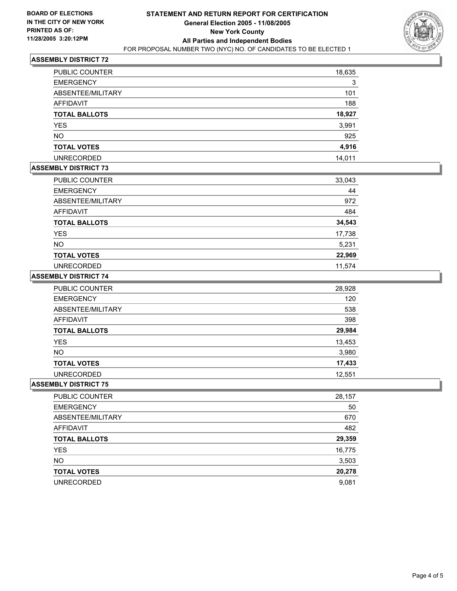

## **ASSEMBLY DISTRICT 72**

| PUBLIC COUNTER       | 18,635 |
|----------------------|--------|
| <b>EMERGENCY</b>     | 3      |
| ABSENTEE/MILITARY    | 101    |
| AFFIDAVIT            | 188    |
| <b>TOTAL BALLOTS</b> | 18,927 |
| <b>YES</b>           | 3,991  |
| <b>NO</b>            | 925    |
| <b>TOTAL VOTES</b>   | 4,916  |
| <b>UNRECORDED</b>    | 14.011 |

#### **ASSEMBLY DISTRICT 73**

| PUBLIC COUNTER       | 33,043 |
|----------------------|--------|
| <b>EMERGENCY</b>     | 44     |
| ABSENTEE/MILITARY    | 972    |
| <b>AFFIDAVIT</b>     | 484    |
| <b>TOTAL BALLOTS</b> | 34,543 |
| <b>YES</b>           | 17,738 |
| <b>NO</b>            | 5,231  |
| <b>TOTAL VOTES</b>   | 22,969 |
| <b>UNRECORDED</b>    | 11,574 |

#### **ASSEMBLY DISTRICT 74**

| PUBLIC COUNTER       | 28,928 |
|----------------------|--------|
| <b>EMERGENCY</b>     | 120    |
| ABSENTEE/MILITARY    | 538    |
| AFFIDAVIT            | 398    |
| <b>TOTAL BALLOTS</b> | 29,984 |
| <b>YES</b>           | 13,453 |
| <b>NO</b>            | 3,980  |
| <b>TOTAL VOTES</b>   | 17,433 |
| <b>UNRECORDED</b>    | 12,551 |

#### **ASSEMBLY DISTRICT 75**

| <b>PUBLIC COUNTER</b> | 28,157 |
|-----------------------|--------|
| <b>EMERGENCY</b>      | 50     |
| ABSENTEE/MILITARY     | 670    |
| AFFIDAVIT             | 482    |
| <b>TOTAL BALLOTS</b>  | 29,359 |
| <b>YES</b>            | 16,775 |
| <b>NO</b>             | 3,503  |
| <b>TOTAL VOTES</b>    | 20,278 |
| <b>UNRECORDED</b>     | 9,081  |
|                       |        |